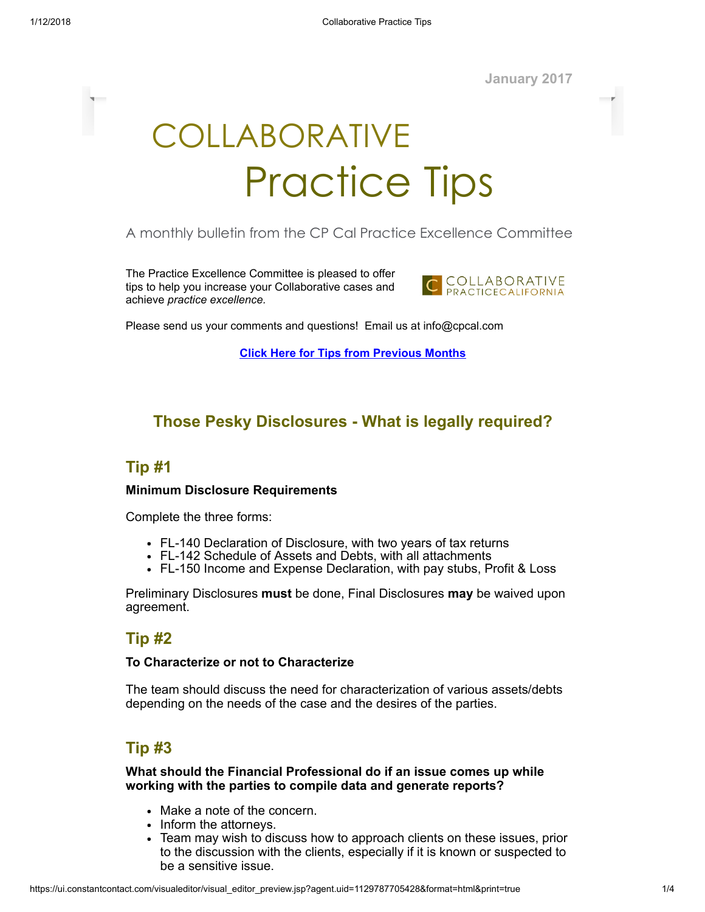January 2017

# COLLABORATIVE Practice Tips

### A monthly bulletin from the CP Cal Practice Excellence Committee

The Practice Excellence Committee is pleased to offer tips to help you increase your Collaborative cases and achieve practice excellence.



Please send us your comments and questions! Email us at info@cpcal.com

Click Here for Tips from [Previous](https://www.dropbox.com/sh/nns7xqfkrgzi7sx/AACnvsWvEnTcndxaKdXGRv_Pa?dl=0) Months

# Those Pesky Disclosures - What is legally required?

### Tip #1

#### Minimum Disclosure Requirements

Complete the three forms:

- FL-140 Declaration of Disclosure, with two years of tax returns
- FL-142 Schedule of Assets and Debts, with all attachments
- FL-150 Income and Expense Declaration, with pay stubs, Profit & Loss

Preliminary Disclosures must be done, Final Disclosures may be waived upon agreement.

# Tip #2

#### To Characterize or not to Characterize

The team should discuss the need for characterization of various assets/debts depending on the needs of the case and the desires of the parties.

# Tip #3

What should the Financial Professional do if an issue comes up while working with the parties to compile data and generate reports?

- Make a note of the concern.
- Inform the attorneys.
- Team may wish to discuss how to approach clients on these issues, prior to the discussion with the clients, especially if it is known or suspected to be a sensitive issue.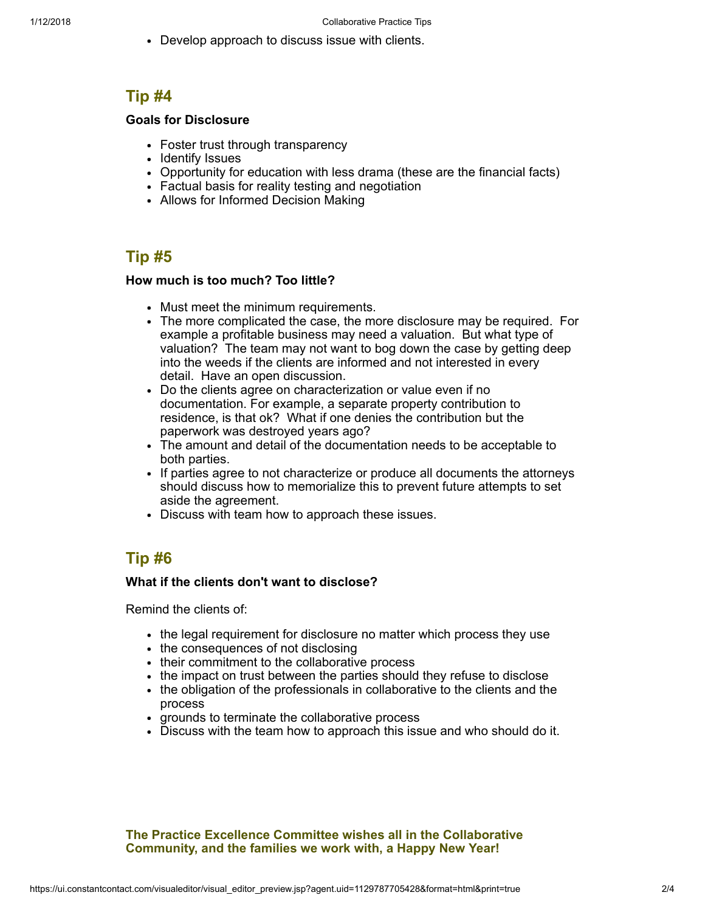Develop approach to discuss issue with clients.

# Tip #4

#### Goals for Disclosure

- Foster trust through transparency
- Identify Issues
- Opportunity for education with less drama (these are the financial facts)
- Factual basis for reality testing and negotiation
- Allows for Informed Decision Making

# Tip #5

#### How much is too much? Too little?

- Must meet the minimum requirements.
- The more complicated the case, the more disclosure may be required. For example a profitable business may need a valuation. But what type of valuation? The team may not want to bog down the case by getting deep into the weeds if the clients are informed and not interested in every detail. Have an open discussion.
- Do the clients agree on characterization or value even if no documentation. For example, a separate property contribution to residence, is that ok? What if one denies the contribution but the paperwork was destroyed years ago?
- The amount and detail of the documentation needs to be acceptable to both parties.
- If parties agree to not characterize or produce all documents the attorneys should discuss how to memorialize this to prevent future attempts to set aside the agreement.
- Discuss with team how to approach these issues.

# Tip #6

#### What if the clients don't want to disclose?

Remind the clients of:

- the legal requirement for disclosure no matter which process they use
- the consequences of not disclosing
- their commitment to the collaborative process
- the impact on trust between the parties should they refuse to disclose
- the obligation of the professionals in collaborative to the clients and the process
- grounds to terminate the collaborative process
- Discuss with the team how to approach this issue and who should do it.

The Practice Excellence Committee wishes all in the Collaborative Community, and the families we work with, a Happy New Year!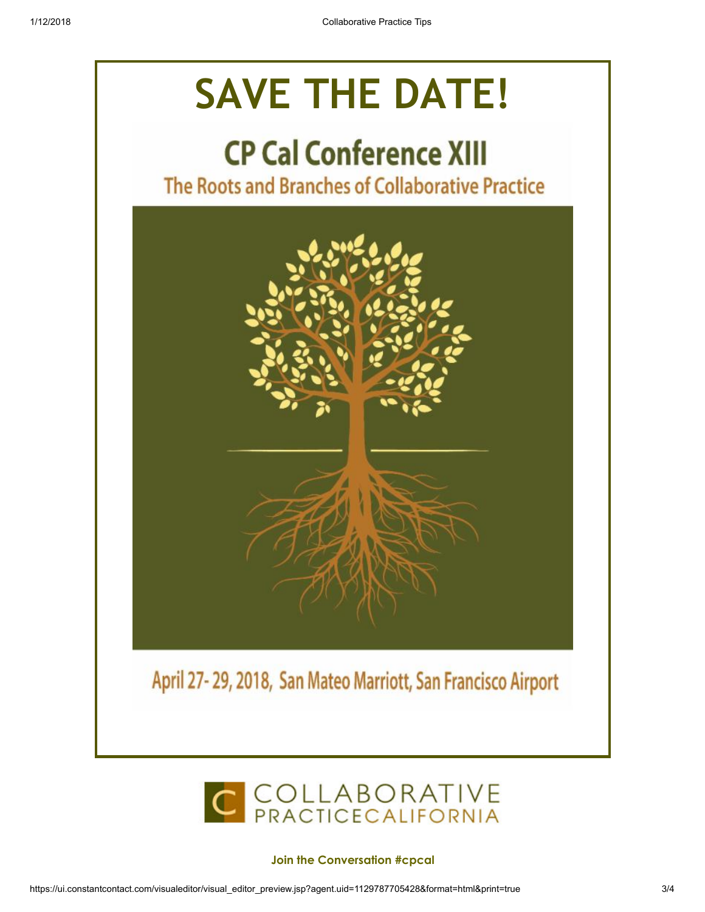# SAVE THE DATE!

# **CP Cal Conference XIII**

The Roots and Branches of Collaborative Practice





#### Join the Conversation #cpcal